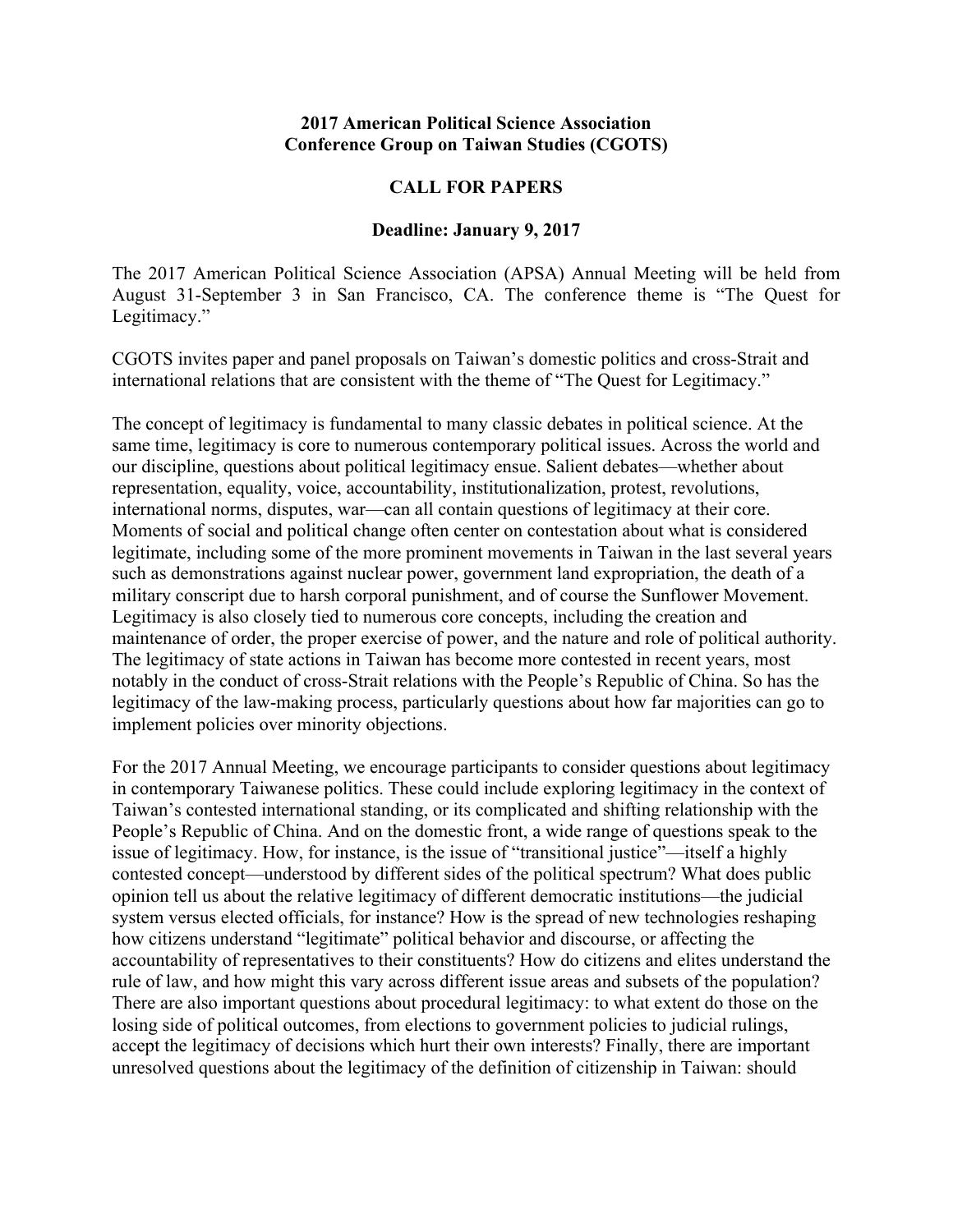## **2017 American Political Science Association Conference Group on Taiwan Studies (CGOTS)**

## **CALL FOR PAPERS**

## **Deadline: January 9, 2017**

The 2017 American Political Science Association (APSA) Annual Meeting will be held from August 31-September 3 in San Francisco, CA. The conference theme is "The Quest for Legitimacy."

CGOTS invites paper and panel proposals on Taiwan's domestic politics and cross-Strait and international relations that are consistent with the theme of "The Quest for Legitimacy."

The concept of legitimacy is fundamental to many classic debates in political science. At the same time, legitimacy is core to numerous contemporary political issues. Across the world and our discipline, questions about political legitimacy ensue. Salient debates—whether about representation, equality, voice, accountability, institutionalization, protest, revolutions, international norms, disputes, war—can all contain questions of legitimacy at their core. Moments of social and political change often center on contestation about what is considered legitimate, including some of the more prominent movements in Taiwan in the last several years such as demonstrations against nuclear power, government land expropriation, the death of a military conscript due to harsh corporal punishment, and of course the Sunflower Movement. Legitimacy is also closely tied to numerous core concepts, including the creation and maintenance of order, the proper exercise of power, and the nature and role of political authority. The legitimacy of state actions in Taiwan has become more contested in recent years, most notably in the conduct of cross-Strait relations with the People's Republic of China. So has the legitimacy of the law-making process, particularly questions about how far majorities can go to implement policies over minority objections.

For the 2017 Annual Meeting, we encourage participants to consider questions about legitimacy in contemporary Taiwanese politics. These could include exploring legitimacy in the context of Taiwan's contested international standing, or its complicated and shifting relationship with the People's Republic of China. And on the domestic front, a wide range of questions speak to the issue of legitimacy. How, for instance, is the issue of "transitional justice"—itself a highly contested concept—understood by different sides of the political spectrum? What does public opinion tell us about the relative legitimacy of different democratic institutions—the judicial system versus elected officials, for instance? How is the spread of new technologies reshaping how citizens understand "legitimate" political behavior and discourse, or affecting the accountability of representatives to their constituents? How do citizens and elites understand the rule of law, and how might this vary across different issue areas and subsets of the population? There are also important questions about procedural legitimacy: to what extent do those on the losing side of political outcomes, from elections to government policies to judicial rulings, accept the legitimacy of decisions which hurt their own interests? Finally, there are important unresolved questions about the legitimacy of the definition of citizenship in Taiwan: should